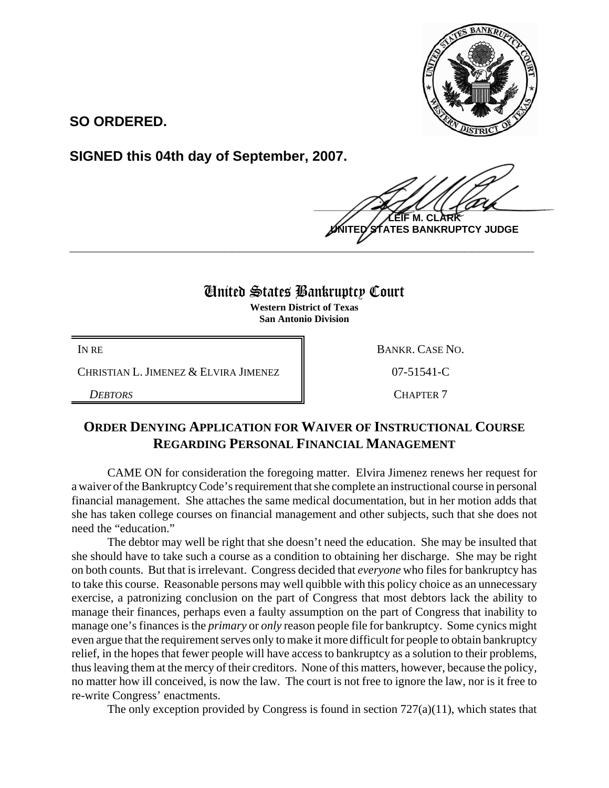

**SO ORDERED.**

**SIGNED this 04th day of September, 2007.**

 $\frac{1}{2}$ **EIF M. CL UNITED STATES BANKRUPTCY JUDGE**

## United States Bankruptcy Court

**\_\_\_\_\_\_\_\_\_\_\_\_\_\_\_\_\_\_\_\_\_\_\_\_\_\_\_\_\_\_\_\_\_\_\_\_\_\_\_\_\_\_\_\_\_\_\_\_\_\_\_\_\_\_\_\_\_\_\_\_**

**Western District of Texas San Antonio Division**

CHRISTIAN L. JIMENEZ & ELVIRA JIMENEZ  $\parallel$  07-51541-C

IN RE BANKR. CASE NO. *DEBTORS* CHAPTER 7

## **ORDER DENYING APPLICATION FOR WAIVER OF INSTRUCTIONAL COURSE REGARDING PERSONAL FINANCIAL MANAGEMENT**

CAME ON for consideration the foregoing matter. Elvira Jimenez renews her request for a waiver of the Bankruptcy Code's requirement that she complete an instructional course in personal financial management. She attaches the same medical documentation, but in her motion adds that she has taken college courses on financial management and other subjects, such that she does not need the "education."

The debtor may well be right that she doesn't need the education. She may be insulted that she should have to take such a course as a condition to obtaining her discharge. She may be right on both counts. But that is irrelevant. Congress decided that *everyone* who files for bankruptcy has to take this course. Reasonable persons may well quibble with this policy choice as an unnecessary exercise, a patronizing conclusion on the part of Congress that most debtors lack the ability to manage their finances, perhaps even a faulty assumption on the part of Congress that inability to manage one's finances is the *primary* or *only* reason people file for bankruptcy. Some cynics might even argue that the requirement serves only to make it more difficult for people to obtain bankruptcy relief, in the hopes that fewer people will have access to bankruptcy as a solution to their problems, thus leaving them at the mercy of their creditors. None of this matters, however, because the policy, no matter how ill conceived, is now the law. The court is not free to ignore the law, nor is it free to re-write Congress' enactments.

The only exception provided by Congress is found in section  $727(a)(11)$ , which states that